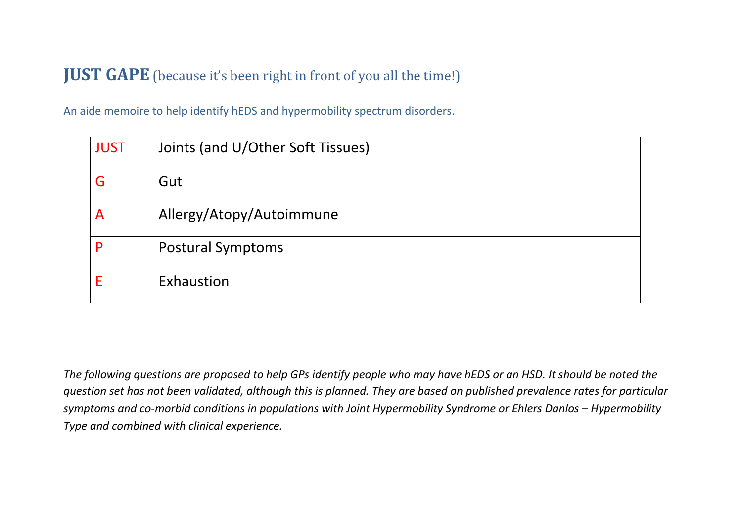## **JUST GAPE** (because it's been right in front of you all the time!)

An aide memoire to help identify hEDS and hypermobility spectrum disorders.

| <b>JUST</b> | Joints (and U/Other Soft Tissues) |
|-------------|-----------------------------------|
| G           | Gut                               |
| A           | Allergy/Atopy/Autoimmune          |
| P           | <b>Postural Symptoms</b>          |
|             | Exhaustion                        |

*The following questions are proposed to help GPs identify people who may have hEDS or an HSD. It should be noted the question set has not been validated, although this is planned. They are based on published prevalence rates for particular symptoms and co-morbid conditions in populations with Joint Hypermobility Syndrome or Ehlers Danlos – Hypermobility Type and combined with clinical experience.*